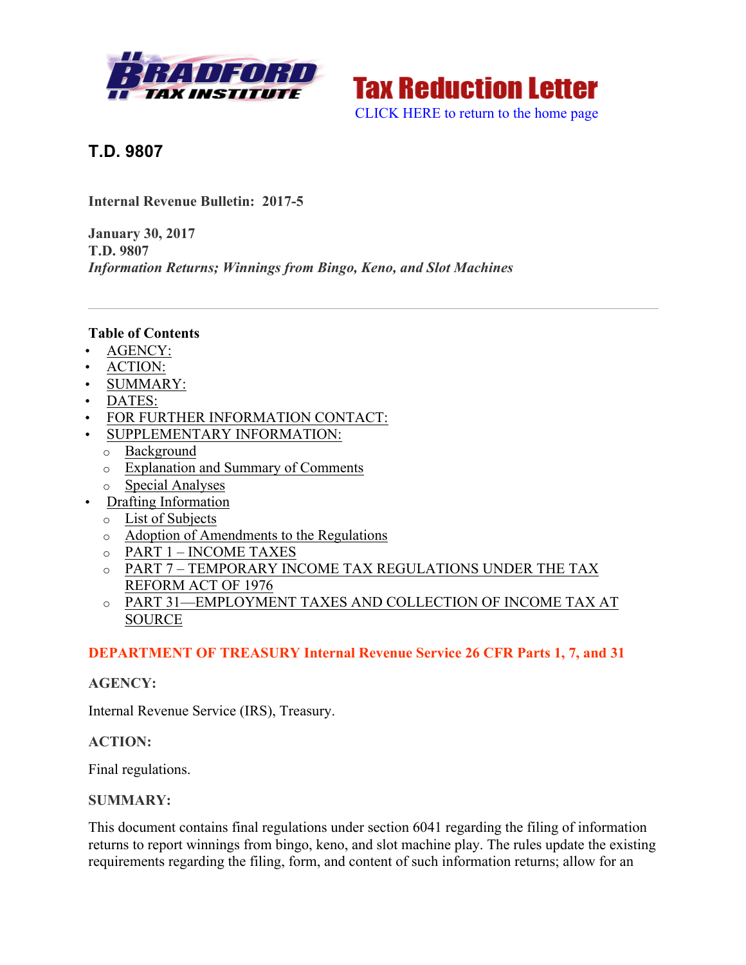



**T.D. 9807**

**Internal Revenue Bulletin: 2017-5**

**January 30, 2017 T.D. 9807** *Information Returns; Winnings from Bingo, Keno, and Slot Machines*

#### **Table of Contents**

- AGENCY:
- ACTION:
- SUMMARY:
- DATES:
- FOR FURTHER INFORMATION CONTACT:
- SUPPLEMENTARY INFORMATION:
	- o Background
	- o Explanation and Summary of Comments
	- o Special Analyses
- Drafting Information
	- o List of Subjects
	- o Adoption of Amendments to the Regulations
	- o PART 1 INCOME TAXES
	- o PART 7 TEMPORARY INCOME TAX REGULATIONS UNDER THE TAX REFORM ACT OF 1976
	- o PART 31—EMPLOYMENT TAXES AND COLLECTION OF INCOME TAX AT SOURCE

#### **DEPARTMENT OF TREASURY Internal Revenue Service 26 CFR Parts 1, 7, and 31**

#### **AGENCY:**

Internal Revenue Service (IRS), Treasury.

#### **ACTION:**

Final regulations.

#### **SUMMARY:**

This document contains final regulations under section 6041 regarding the filing of information returns to report winnings from bingo, keno, and slot machine play. The rules update the existing requirements regarding the filing, form, and content of such information returns; allow for an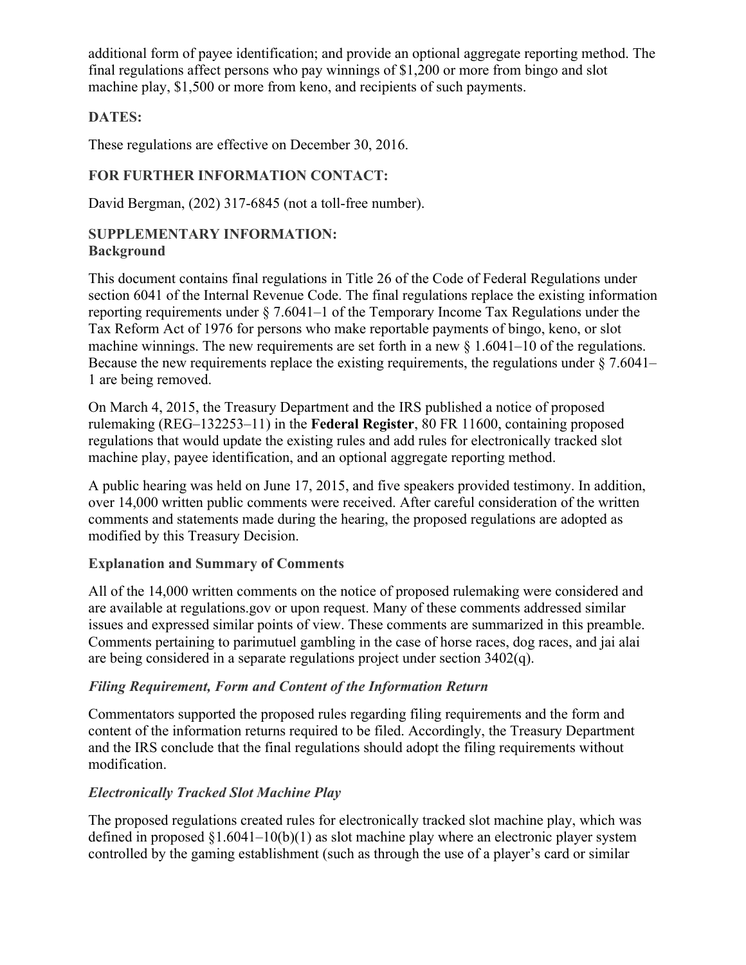additional form of payee identification; and provide an optional aggregate reporting method. The final regulations affect persons who pay winnings of \$1,200 or more from bingo and slot machine play, \$1,500 or more from keno, and recipients of such payments.

## **DATES:**

These regulations are effective on December 30, 2016.

# **FOR FURTHER INFORMATION CONTACT:**

David Bergman, (202) 317-6845 (not a toll-free number).

#### **SUPPLEMENTARY INFORMATION: Background**

This document contains final regulations in Title 26 of the Code of Federal Regulations under section 6041 of the Internal Revenue Code. The final regulations replace the existing information reporting requirements under § 7.6041–1 of the Temporary Income Tax Regulations under the Tax Reform Act of 1976 for persons who make reportable payments of bingo, keno, or slot machine winnings. The new requirements are set forth in a new  $\S 1.6041-10$  of the regulations. Because the new requirements replace the existing requirements, the regulations under § 7.6041– 1 are being removed.

On March 4, 2015, the Treasury Department and the IRS published a notice of proposed rulemaking (REG–132253–11) in the **Federal Register**, 80 FR 11600, containing proposed regulations that would update the existing rules and add rules for electronically tracked slot machine play, payee identification, and an optional aggregate reporting method.

A public hearing was held on June 17, 2015, and five speakers provided testimony. In addition, over 14,000 written public comments were received. After careful consideration of the written comments and statements made during the hearing, the proposed regulations are adopted as modified by this Treasury Decision.

## **Explanation and Summary of Comments**

All of the 14,000 written comments on the notice of proposed rulemaking were considered and are available at regulations.gov or upon request. Many of these comments addressed similar issues and expressed similar points of view. These comments are summarized in this preamble. Comments pertaining to parimutuel gambling in the case of horse races, dog races, and jai alai are being considered in a separate regulations project under section 3402(q).

## *Filing Requirement, Form and Content of the Information Return*

Commentators supported the proposed rules regarding filing requirements and the form and content of the information returns required to be filed. Accordingly, the Treasury Department and the IRS conclude that the final regulations should adopt the filing requirements without modification.

# *Electronically Tracked Slot Machine Play*

The proposed regulations created rules for electronically tracked slot machine play, which was defined in proposed  $\S1.6041-10(b)(1)$  as slot machine play where an electronic player system controlled by the gaming establishment (such as through the use of a player's card or similar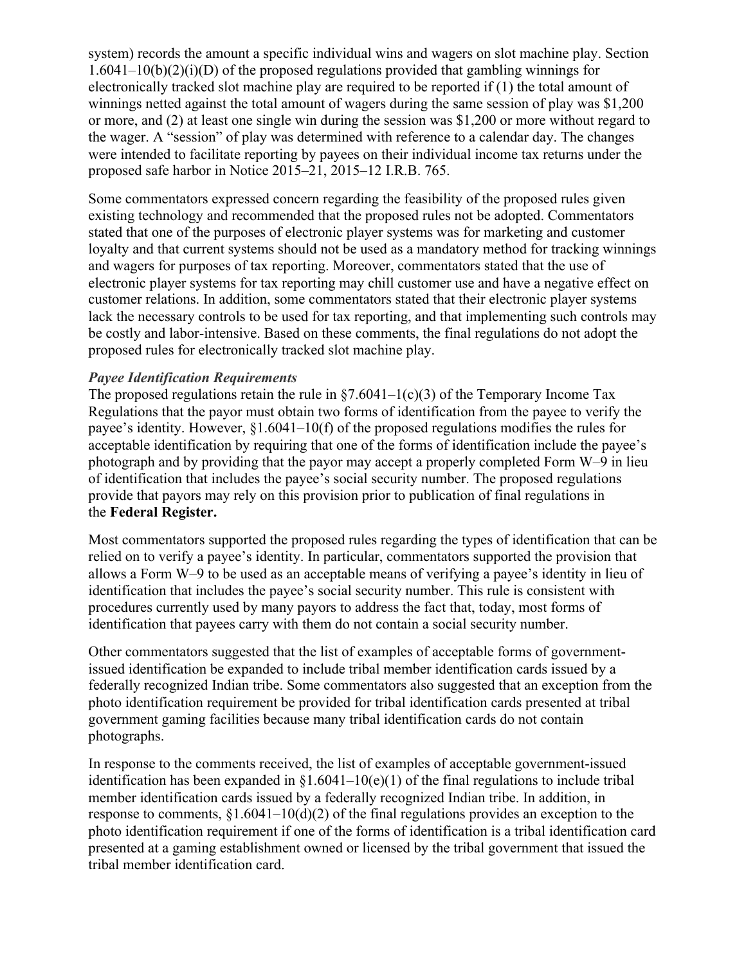system) records the amount a specific individual wins and wagers on slot machine play. Section  $1.6041-10(b)(2)(i)(D)$  of the proposed regulations provided that gambling winnings for electronically tracked slot machine play are required to be reported if (1) the total amount of winnings netted against the total amount of wagers during the same session of play was \$1,200 or more, and (2) at least one single win during the session was \$1,200 or more without regard to the wager. A "session" of play was determined with reference to a calendar day. The changes were intended to facilitate reporting by payees on their individual income tax returns under the proposed safe harbor in Notice 2015–21, 2015–12 I.R.B. 765.

Some commentators expressed concern regarding the feasibility of the proposed rules given existing technology and recommended that the proposed rules not be adopted. Commentators stated that one of the purposes of electronic player systems was for marketing and customer loyalty and that current systems should not be used as a mandatory method for tracking winnings and wagers for purposes of tax reporting. Moreover, commentators stated that the use of electronic player systems for tax reporting may chill customer use and have a negative effect on customer relations. In addition, some commentators stated that their electronic player systems lack the necessary controls to be used for tax reporting, and that implementing such controls may be costly and labor-intensive. Based on these comments, the final regulations do not adopt the proposed rules for electronically tracked slot machine play.

## *Payee Identification Requirements*

The proposed regulations retain the rule in  $\S$ 7.6041–1(c)(3) of the Temporary Income Tax Regulations that the payor must obtain two forms of identification from the payee to verify the payee's identity. However, §1.6041–10(f) of the proposed regulations modifies the rules for acceptable identification by requiring that one of the forms of identification include the payee's photograph and by providing that the payor may accept a properly completed Form W–9 in lieu of identification that includes the payee's social security number. The proposed regulations provide that payors may rely on this provision prior to publication of final regulations in the **Federal Register.**

Most commentators supported the proposed rules regarding the types of identification that can be relied on to verify a payee's identity. In particular, commentators supported the provision that allows a Form W–9 to be used as an acceptable means of verifying a payee's identity in lieu of identification that includes the payee's social security number. This rule is consistent with procedures currently used by many payors to address the fact that, today, most forms of identification that payees carry with them do not contain a social security number.

Other commentators suggested that the list of examples of acceptable forms of governmentissued identification be expanded to include tribal member identification cards issued by a federally recognized Indian tribe. Some commentators also suggested that an exception from the photo identification requirement be provided for tribal identification cards presented at tribal government gaming facilities because many tribal identification cards do not contain photographs.

In response to the comments received, the list of examples of acceptable government-issued identification has been expanded in  $\S1.6041-10(e)(1)$  of the final regulations to include tribal member identification cards issued by a federally recognized Indian tribe. In addition, in response to comments, §1.6041–10(d)(2) of the final regulations provides an exception to the photo identification requirement if one of the forms of identification is a tribal identification card presented at a gaming establishment owned or licensed by the tribal government that issued the tribal member identification card.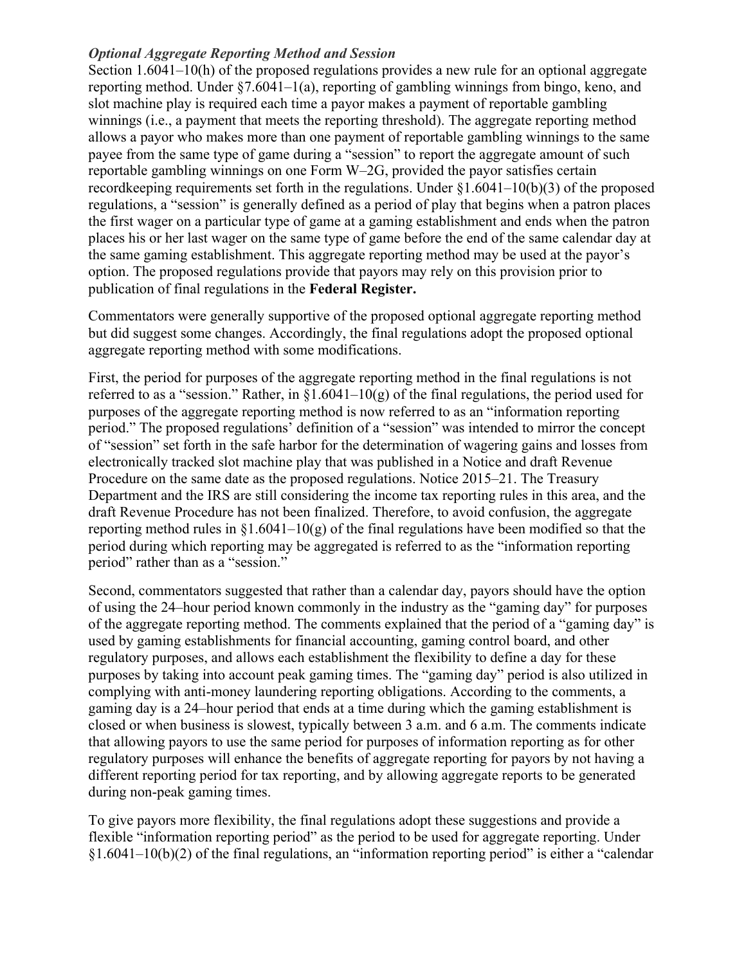## *Optional Aggregate Reporting Method and Session*

Section 1.6041–10(h) of the proposed regulations provides a new rule for an optional aggregate reporting method. Under §7.6041–1(a), reporting of gambling winnings from bingo, keno, and slot machine play is required each time a payor makes a payment of reportable gambling winnings (i.e., a payment that meets the reporting threshold). The aggregate reporting method allows a payor who makes more than one payment of reportable gambling winnings to the same payee from the same type of game during a "session" to report the aggregate amount of such reportable gambling winnings on one Form W–2G, provided the payor satisfies certain recordkeeping requirements set forth in the regulations. Under §1.6041–10(b)(3) of the proposed regulations, a "session" is generally defined as a period of play that begins when a patron places the first wager on a particular type of game at a gaming establishment and ends when the patron places his or her last wager on the same type of game before the end of the same calendar day at the same gaming establishment. This aggregate reporting method may be used at the payor's option. The proposed regulations provide that payors may rely on this provision prior to publication of final regulations in the **Federal Register.**

Commentators were generally supportive of the proposed optional aggregate reporting method but did suggest some changes. Accordingly, the final regulations adopt the proposed optional aggregate reporting method with some modifications.

First, the period for purposes of the aggregate reporting method in the final regulations is not referred to as a "session." Rather, in  $\S1.6041-10(g)$  of the final regulations, the period used for purposes of the aggregate reporting method is now referred to as an "information reporting period." The proposed regulations' definition of a "session" was intended to mirror the concept of "session" set forth in the safe harbor for the determination of wagering gains and losses from electronically tracked slot machine play that was published in a Notice and draft Revenue Procedure on the same date as the proposed regulations. Notice 2015–21. The Treasury Department and the IRS are still considering the income tax reporting rules in this area, and the draft Revenue Procedure has not been finalized. Therefore, to avoid confusion, the aggregate reporting method rules in  $\S1.6041-10(g)$  of the final regulations have been modified so that the period during which reporting may be aggregated is referred to as the "information reporting period" rather than as a "session."

Second, commentators suggested that rather than a calendar day, payors should have the option of using the 24–hour period known commonly in the industry as the "gaming day" for purposes of the aggregate reporting method. The comments explained that the period of a "gaming day" is used by gaming establishments for financial accounting, gaming control board, and other regulatory purposes, and allows each establishment the flexibility to define a day for these purposes by taking into account peak gaming times. The "gaming day" period is also utilized in complying with anti-money laundering reporting obligations. According to the comments, a gaming day is a 24–hour period that ends at a time during which the gaming establishment is closed or when business is slowest, typically between 3 a.m. and 6 a.m. The comments indicate that allowing payors to use the same period for purposes of information reporting as for other regulatory purposes will enhance the benefits of aggregate reporting for payors by not having a different reporting period for tax reporting, and by allowing aggregate reports to be generated during non-peak gaming times.

To give payors more flexibility, the final regulations adopt these suggestions and provide a flexible "information reporting period" as the period to be used for aggregate reporting. Under  $§1.6041-10(b)(2)$  of the final regulations, an "information reporting period" is either a "calendar"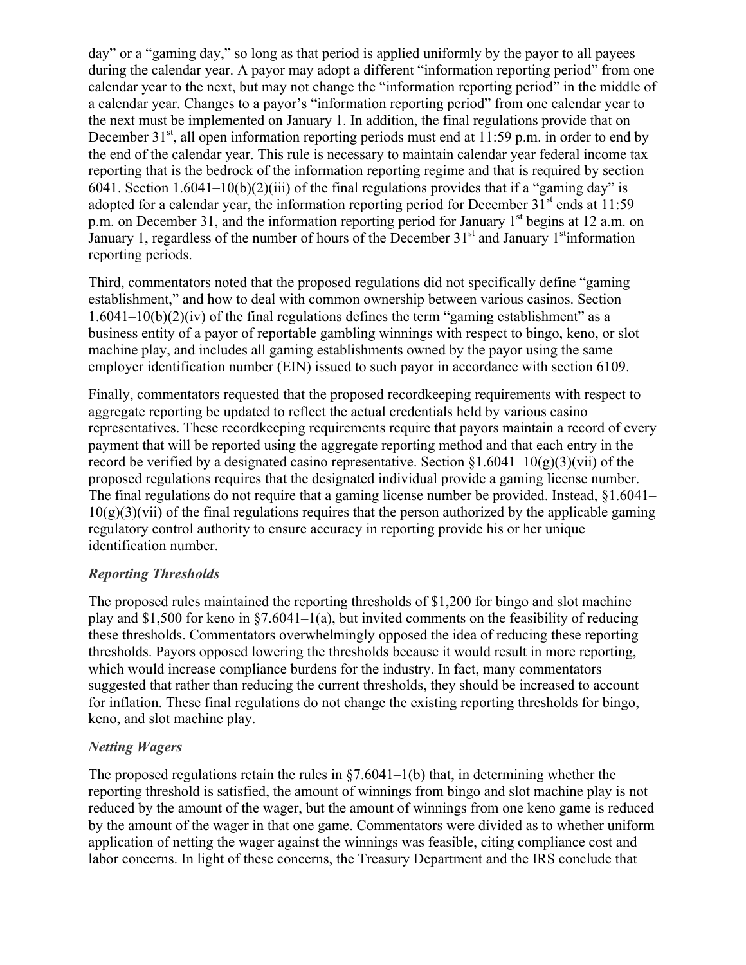day" or a "gaming day," so long as that period is applied uniformly by the payor to all payees during the calendar year. A payor may adopt a different "information reporting period" from one calendar year to the next, but may not change the "information reporting period" in the middle of a calendar year. Changes to a payor's "information reporting period" from one calendar year to the next must be implemented on January 1. In addition, the final regulations provide that on December  $31<sup>st</sup>$ , all open information reporting periods must end at 11:59 p.m. in order to end by the end of the calendar year. This rule is necessary to maintain calendar year federal income tax reporting that is the bedrock of the information reporting regime and that is required by section 6041. Section 1.6041–10(b)(2)(iii) of the final regulations provides that if a "gaming day" is adopted for a calendar year, the information reporting period for December  $31<sup>st</sup>$  ends at 11:59 p.m. on December 31, and the information reporting period for January  $1<sup>st</sup>$  begins at 12 a.m. on January 1, regardless of the number of hours of the December  $31<sup>st</sup>$  and January 1<sup>st</sup> information reporting periods.

Third, commentators noted that the proposed regulations did not specifically define "gaming establishment," and how to deal with common ownership between various casinos. Section  $1.6041-10(b)(2)(iv)$  of the final regulations defines the term "gaming establishment" as a business entity of a payor of reportable gambling winnings with respect to bingo, keno, or slot machine play, and includes all gaming establishments owned by the payor using the same employer identification number (EIN) issued to such payor in accordance with section 6109.

Finally, commentators requested that the proposed recordkeeping requirements with respect to aggregate reporting be updated to reflect the actual credentials held by various casino representatives. These recordkeeping requirements require that payors maintain a record of every payment that will be reported using the aggregate reporting method and that each entry in the record be verified by a designated casino representative. Section  $\S1.6041-10(g)(3)(vi)$  of the proposed regulations requires that the designated individual provide a gaming license number. The final regulations do not require that a gaming license number be provided. Instead, §1.6041–  $10(g)(3)(vi)$  of the final regulations requires that the person authorized by the applicable gaming regulatory control authority to ensure accuracy in reporting provide his or her unique identification number.

## *Reporting Thresholds*

The proposed rules maintained the reporting thresholds of \$1,200 for bingo and slot machine play and \$1,500 for keno in  $\S7.6041-1(a)$ , but invited comments on the feasibility of reducing these thresholds. Commentators overwhelmingly opposed the idea of reducing these reporting thresholds. Payors opposed lowering the thresholds because it would result in more reporting, which would increase compliance burdens for the industry. In fact, many commentators suggested that rather than reducing the current thresholds, they should be increased to account for inflation. These final regulations do not change the existing reporting thresholds for bingo, keno, and slot machine play.

## *Netting Wagers*

The proposed regulations retain the rules in  $\S7.6041-1(b)$  that, in determining whether the reporting threshold is satisfied, the amount of winnings from bingo and slot machine play is not reduced by the amount of the wager, but the amount of winnings from one keno game is reduced by the amount of the wager in that one game. Commentators were divided as to whether uniform application of netting the wager against the winnings was feasible, citing compliance cost and labor concerns. In light of these concerns, the Treasury Department and the IRS conclude that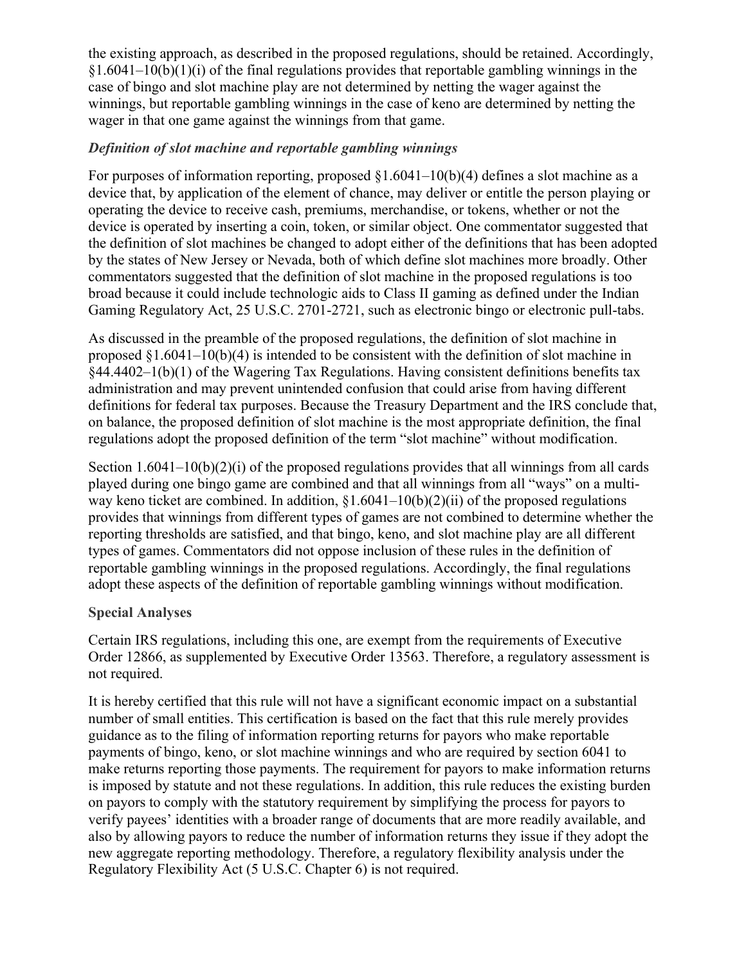the existing approach, as described in the proposed regulations, should be retained. Accordingly,  $(1.6041-10(b)(1)(i))$  of the final regulations provides that reportable gambling winnings in the case of bingo and slot machine play are not determined by netting the wager against the winnings, but reportable gambling winnings in the case of keno are determined by netting the wager in that one game against the winnings from that game.

## *Definition of slot machine and reportable gambling winnings*

For purposes of information reporting, proposed §1.6041–10(b)(4) defines a slot machine as a device that, by application of the element of chance, may deliver or entitle the person playing or operating the device to receive cash, premiums, merchandise, or tokens, whether or not the device is operated by inserting a coin, token, or similar object. One commentator suggested that the definition of slot machines be changed to adopt either of the definitions that has been adopted by the states of New Jersey or Nevada, both of which define slot machines more broadly. Other commentators suggested that the definition of slot machine in the proposed regulations is too broad because it could include technologic aids to Class II gaming as defined under the Indian Gaming Regulatory Act, 25 U.S.C. 2701-2721, such as electronic bingo or electronic pull-tabs.

As discussed in the preamble of the proposed regulations, the definition of slot machine in proposed §1.6041–10(b)(4) is intended to be consistent with the definition of slot machine in §44.4402–1(b)(1) of the Wagering Tax Regulations. Having consistent definitions benefits tax administration and may prevent unintended confusion that could arise from having different definitions for federal tax purposes. Because the Treasury Department and the IRS conclude that, on balance, the proposed definition of slot machine is the most appropriate definition, the final regulations adopt the proposed definition of the term "slot machine" without modification.

Section 1.6041–10(b)(2)(i) of the proposed regulations provides that all winnings from all cards played during one bingo game are combined and that all winnings from all "ways" on a multiway keno ticket are combined. In addition,  $\S1.6041-10(b)(2)(ii)$  of the proposed regulations provides that winnings from different types of games are not combined to determine whether the reporting thresholds are satisfied, and that bingo, keno, and slot machine play are all different types of games. Commentators did not oppose inclusion of these rules in the definition of reportable gambling winnings in the proposed regulations. Accordingly, the final regulations adopt these aspects of the definition of reportable gambling winnings without modification.

## **Special Analyses**

Certain IRS regulations, including this one, are exempt from the requirements of Executive Order 12866, as supplemented by Executive Order 13563. Therefore, a regulatory assessment is not required.

It is hereby certified that this rule will not have a significant economic impact on a substantial number of small entities. This certification is based on the fact that this rule merely provides guidance as to the filing of information reporting returns for payors who make reportable payments of bingo, keno, or slot machine winnings and who are required by section 6041 to make returns reporting those payments. The requirement for payors to make information returns is imposed by statute and not these regulations. In addition, this rule reduces the existing burden on payors to comply with the statutory requirement by simplifying the process for payors to verify payees' identities with a broader range of documents that are more readily available, and also by allowing payors to reduce the number of information returns they issue if they adopt the new aggregate reporting methodology. Therefore, a regulatory flexibility analysis under the Regulatory Flexibility Act (5 U.S.C. Chapter 6) is not required.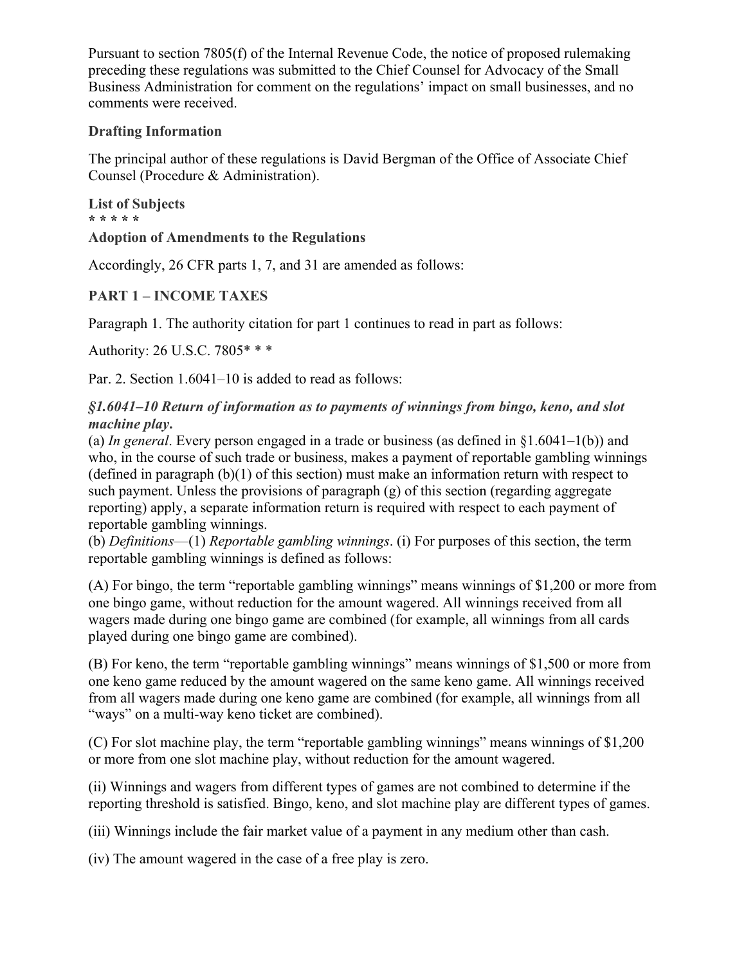Pursuant to section 7805(f) of the Internal Revenue Code, the notice of proposed rulemaking preceding these regulations was submitted to the Chief Counsel for Advocacy of the Small Business Administration for comment on the regulations' impact on small businesses, and no comments were received.

## **Drafting Information**

The principal author of these regulations is David Bergman of the Office of Associate Chief Counsel (Procedure & Administration).

**List of Subjects \* \* \* \* \* Adoption of Amendments to the Regulations**

Accordingly, 26 CFR parts 1, 7, and 31 are amended as follows:

# **PART 1 – INCOME TAXES**

Paragraph 1. The authority citation for part 1 continues to read in part as follows:

Authority: 26 U.S.C. 7805\* \* \*

Par. 2. Section  $1.6041-10$  is added to read as follows:

*§1.6041–10 Return of information as to payments of winnings from bingo, keno, and slot machine play***.**

(a) *In general*. Every person engaged in a trade or business (as defined in §1.6041–1(b)) and who, in the course of such trade or business, makes a payment of reportable gambling winnings (defined in paragraph  $(b)(1)$  of this section) must make an information return with respect to such payment. Unless the provisions of paragraph (g) of this section (regarding aggregate reporting) apply, a separate information return is required with respect to each payment of reportable gambling winnings.

(b) *Definitions*—(1) *Reportable gambling winnings*. (i) For purposes of this section, the term reportable gambling winnings is defined as follows:

(A) For bingo, the term "reportable gambling winnings" means winnings of \$1,200 or more from one bingo game, without reduction for the amount wagered. All winnings received from all wagers made during one bingo game are combined (for example, all winnings from all cards played during one bingo game are combined).

(B) For keno, the term "reportable gambling winnings" means winnings of \$1,500 or more from one keno game reduced by the amount wagered on the same keno game. All winnings received from all wagers made during one keno game are combined (for example, all winnings from all "ways" on a multi-way keno ticket are combined).

(C) For slot machine play, the term "reportable gambling winnings" means winnings of \$1,200 or more from one slot machine play, without reduction for the amount wagered.

(ii) Winnings and wagers from different types of games are not combined to determine if the reporting threshold is satisfied. Bingo, keno, and slot machine play are different types of games.

(iii) Winnings include the fair market value of a payment in any medium other than cash.

(iv) The amount wagered in the case of a free play is zero.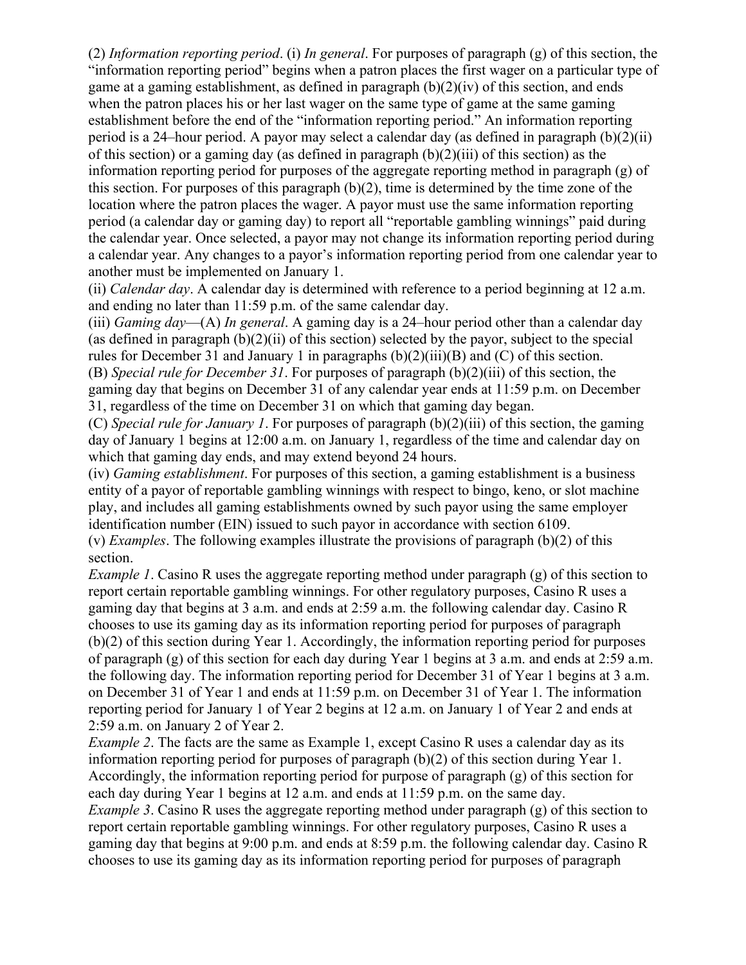(2) *Information reporting period*. (i) *In general*. For purposes of paragraph (g) of this section, the "information reporting period" begins when a patron places the first wager on a particular type of game at a gaming establishment, as defined in paragraph  $(b)(2)(iv)$  of this section, and ends when the patron places his or her last wager on the same type of game at the same gaming establishment before the end of the "information reporting period." An information reporting period is a 24–hour period. A payor may select a calendar day (as defined in paragraph (b)(2)(ii) of this section) or a gaming day (as defined in paragraph (b)(2)(iii) of this section) as the information reporting period for purposes of the aggregate reporting method in paragraph (g) of this section. For purposes of this paragraph (b)(2), time is determined by the time zone of the location where the patron places the wager. A payor must use the same information reporting period (a calendar day or gaming day) to report all "reportable gambling winnings" paid during the calendar year. Once selected, a payor may not change its information reporting period during a calendar year. Any changes to a payor's information reporting period from one calendar year to another must be implemented on January 1.

(ii) *Calendar day*. A calendar day is determined with reference to a period beginning at 12 a.m. and ending no later than 11:59 p.m. of the same calendar day.

(iii) *Gaming day*—(A) *In general*. A gaming day is a 24–hour period other than a calendar day (as defined in paragraph  $(b)(2)(ii)$  of this section) selected by the payor, subject to the special rules for December 31 and January 1 in paragraphs (b)(2)(iii)(B) and (C) of this section. (B) *Special rule for December 31*. For purposes of paragraph (b)(2)(iii) of this section, the gaming day that begins on December 31 of any calendar year ends at 11:59 p.m. on December 31, regardless of the time on December 31 on which that gaming day began.

(C) *Special rule for January 1*. For purposes of paragraph (b)(2)(iii) of this section, the gaming day of January 1 begins at 12:00 a.m. on January 1, regardless of the time and calendar day on which that gaming day ends, and may extend beyond 24 hours.

(iv) *Gaming establishment*. For purposes of this section, a gaming establishment is a business entity of a payor of reportable gambling winnings with respect to bingo, keno, or slot machine play, and includes all gaming establishments owned by such payor using the same employer identification number (EIN) issued to such payor in accordance with section 6109.

(v) *Examples*. The following examples illustrate the provisions of paragraph (b)(2) of this section.

*Example 1*. Casino R uses the aggregate reporting method under paragraph (g) of this section to report certain reportable gambling winnings. For other regulatory purposes, Casino R uses a gaming day that begins at 3 a.m. and ends at 2:59 a.m. the following calendar day. Casino R chooses to use its gaming day as its information reporting period for purposes of paragraph (b)(2) of this section during Year 1. Accordingly, the information reporting period for purposes of paragraph (g) of this section for each day during Year 1 begins at 3 a.m. and ends at 2:59 a.m. the following day. The information reporting period for December 31 of Year 1 begins at 3 a.m. on December 31 of Year 1 and ends at 11:59 p.m. on December 31 of Year 1. The information reporting period for January 1 of Year 2 begins at 12 a.m. on January 1 of Year 2 and ends at 2:59 a.m. on January 2 of Year 2.

*Example* 2. The facts are the same as Example 1, except Casino R uses a calendar day as its information reporting period for purposes of paragraph (b)(2) of this section during Year 1. Accordingly, the information reporting period for purpose of paragraph (g) of this section for each day during Year 1 begins at 12 a.m. and ends at 11:59 p.m. on the same day. *Example* 3. Casino R uses the aggregate reporting method under paragraph (g) of this section to

report certain reportable gambling winnings. For other regulatory purposes, Casino R uses a gaming day that begins at 9:00 p.m. and ends at 8:59 p.m. the following calendar day. Casino R chooses to use its gaming day as its information reporting period for purposes of paragraph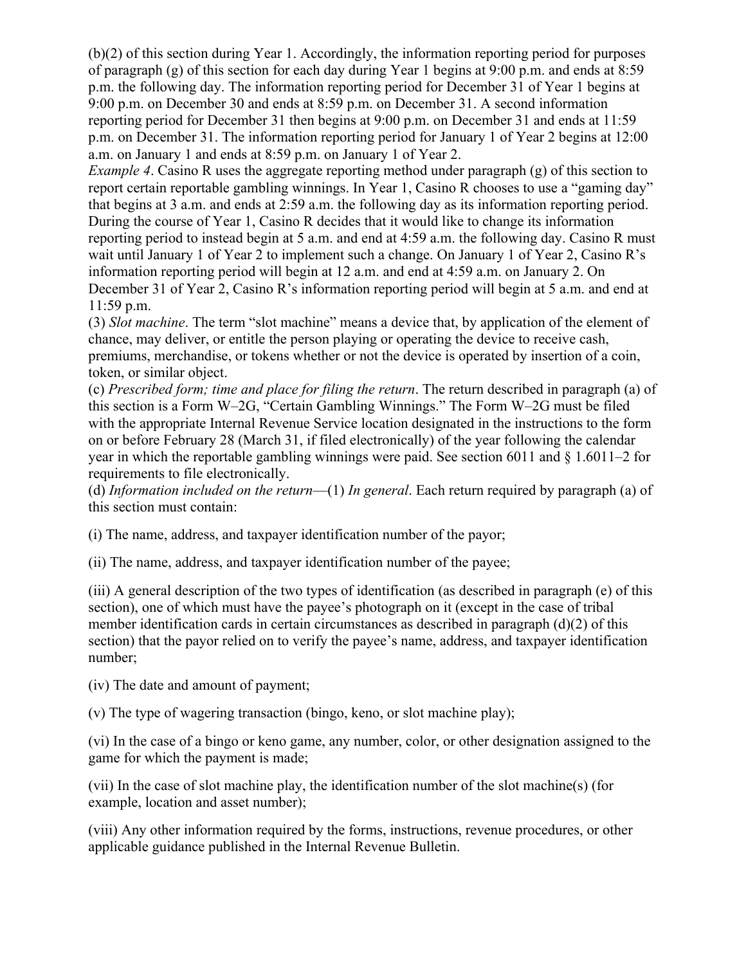(b)(2) of this section during Year 1. Accordingly, the information reporting period for purposes of paragraph (g) of this section for each day during Year 1 begins at 9:00 p.m. and ends at 8:59 p.m. the following day. The information reporting period for December 31 of Year 1 begins at 9:00 p.m. on December 30 and ends at 8:59 p.m. on December 31. A second information reporting period for December 31 then begins at 9:00 p.m. on December 31 and ends at 11:59 p.m. on December 31. The information reporting period for January 1 of Year 2 begins at 12:00 a.m. on January 1 and ends at 8:59 p.m. on January 1 of Year 2.

*Example* 4. Casino R uses the aggregate reporting method under paragraph (g) of this section to report certain reportable gambling winnings. In Year 1, Casino R chooses to use a "gaming day" that begins at 3 a.m. and ends at 2:59 a.m. the following day as its information reporting period. During the course of Year 1, Casino R decides that it would like to change its information reporting period to instead begin at 5 a.m. and end at 4:59 a.m. the following day. Casino R must wait until January 1 of Year 2 to implement such a change. On January 1 of Year 2, Casino R's information reporting period will begin at 12 a.m. and end at 4:59 a.m. on January 2. On December 31 of Year 2, Casino R's information reporting period will begin at 5 a.m. and end at 11:59 p.m.

(3) *Slot machine*. The term "slot machine" means a device that, by application of the element of chance, may deliver, or entitle the person playing or operating the device to receive cash, premiums, merchandise, or tokens whether or not the device is operated by insertion of a coin, token, or similar object.

(c) *Prescribed form; time and place for filing the return*. The return described in paragraph (a) of this section is a Form W–2G, "Certain Gambling Winnings." The Form W–2G must be filed with the appropriate Internal Revenue Service location designated in the instructions to the form on or before February 28 (March 31, if filed electronically) of the year following the calendar year in which the reportable gambling winnings were paid. See section 6011 and § 1.6011–2 for requirements to file electronically.

(d) *Information included on the return*—(1) *In general*. Each return required by paragraph (a) of this section must contain:

(i) The name, address, and taxpayer identification number of the payor;

(ii) The name, address, and taxpayer identification number of the payee;

(iii) A general description of the two types of identification (as described in paragraph (e) of this section), one of which must have the payee's photograph on it (except in the case of tribal member identification cards in certain circumstances as described in paragraph (d)(2) of this section) that the payor relied on to verify the payee's name, address, and taxpayer identification number;

(iv) The date and amount of payment;

(v) The type of wagering transaction (bingo, keno, or slot machine play);

(vi) In the case of a bingo or keno game, any number, color, or other designation assigned to the game for which the payment is made;

(vii) In the case of slot machine play, the identification number of the slot machine(s) (for example, location and asset number);

(viii) Any other information required by the forms, instructions, revenue procedures, or other applicable guidance published in the Internal Revenue Bulletin.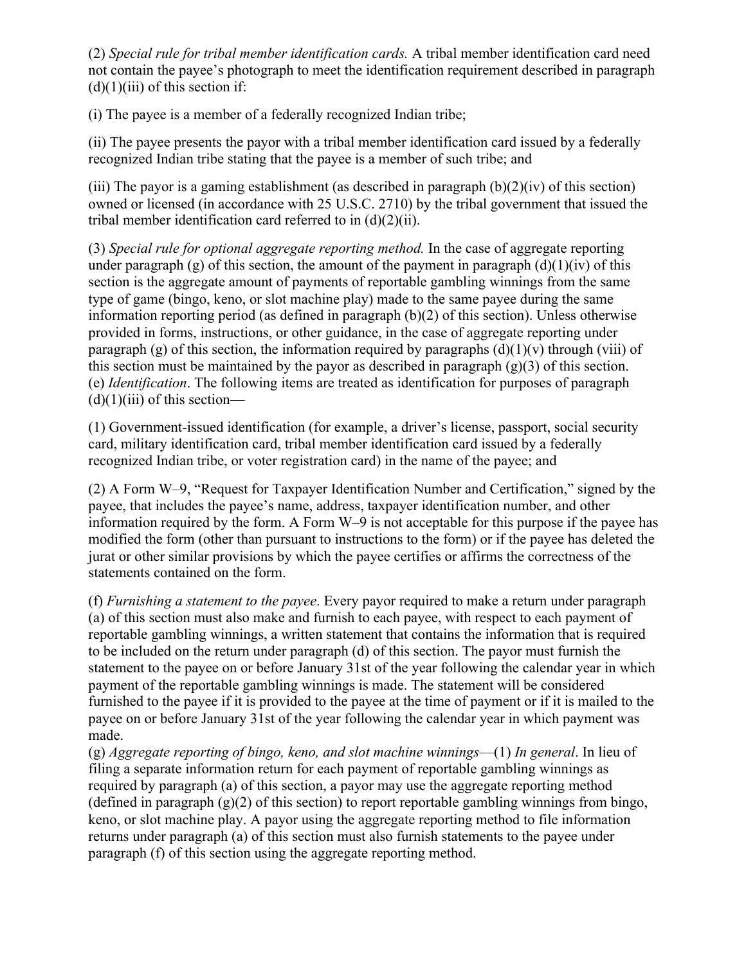(2) *Special rule for tribal member identification cards.* A tribal member identification card need not contain the payee's photograph to meet the identification requirement described in paragraph  $(d)(1)(iii)$  of this section if:

(i) The payee is a member of a federally recognized Indian tribe;

(ii) The payee presents the payor with a tribal member identification card issued by a federally recognized Indian tribe stating that the payee is a member of such tribe; and

(iii) The payor is a gaming establishment (as described in paragraph  $(b)(2)(iv)$  of this section) owned or licensed (in accordance with 25 U.S.C. 2710) by the tribal government that issued the tribal member identification card referred to in  $(d)(2)(ii)$ .

(3) *Special rule for optional aggregate reporting method.* In the case of aggregate reporting under paragraph (g) of this section, the amount of the payment in paragraph (d)(1)(iv) of this section is the aggregate amount of payments of reportable gambling winnings from the same type of game (bingo, keno, or slot machine play) made to the same payee during the same information reporting period (as defined in paragraph (b)(2) of this section). Unless otherwise provided in forms, instructions, or other guidance, in the case of aggregate reporting under paragraph (g) of this section, the information required by paragraphs  $(d)(1)(v)$  through (viii) of this section must be maintained by the payor as described in paragraph  $(g)(3)$  of this section. (e) *Identification*. The following items are treated as identification for purposes of paragraph  $(d)(1)(iii)$  of this section—

(1) Government-issued identification (for example, a driver's license, passport, social security card, military identification card, tribal member identification card issued by a federally recognized Indian tribe, or voter registration card) in the name of the payee; and

(2) A Form W–9, "Request for Taxpayer Identification Number and Certification," signed by the payee, that includes the payee's name, address, taxpayer identification number, and other information required by the form. A Form W–9 is not acceptable for this purpose if the payee has modified the form (other than pursuant to instructions to the form) or if the payee has deleted the jurat or other similar provisions by which the payee certifies or affirms the correctness of the statements contained on the form.

(f) *Furnishing a statement to the payee*. Every payor required to make a return under paragraph (a) of this section must also make and furnish to each payee, with respect to each payment of reportable gambling winnings, a written statement that contains the information that is required to be included on the return under paragraph (d) of this section. The payor must furnish the statement to the payee on or before January 31st of the year following the calendar year in which payment of the reportable gambling winnings is made. The statement will be considered furnished to the payee if it is provided to the payee at the time of payment or if it is mailed to the payee on or before January 31st of the year following the calendar year in which payment was made.

(g) *Aggregate reporting of bingo, keno, and slot machine winnings*—(1) *In general*. In lieu of filing a separate information return for each payment of reportable gambling winnings as required by paragraph (a) of this section, a payor may use the aggregate reporting method (defined in paragraph (g)(2) of this section) to report reportable gambling winnings from bingo, keno, or slot machine play. A payor using the aggregate reporting method to file information returns under paragraph (a) of this section must also furnish statements to the payee under paragraph (f) of this section using the aggregate reporting method.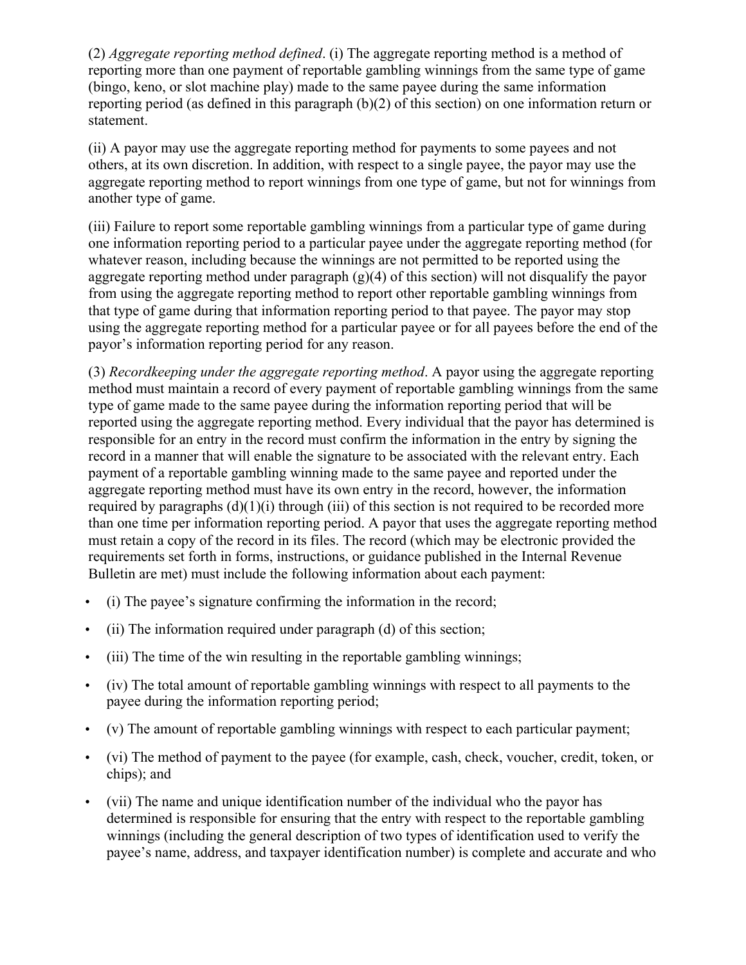(2) *Aggregate reporting method defined*. (i) The aggregate reporting method is a method of reporting more than one payment of reportable gambling winnings from the same type of game (bingo, keno, or slot machine play) made to the same payee during the same information reporting period (as defined in this paragraph (b)(2) of this section) on one information return or statement.

(ii) A payor may use the aggregate reporting method for payments to some payees and not others, at its own discretion. In addition, with respect to a single payee, the payor may use the aggregate reporting method to report winnings from one type of game, but not for winnings from another type of game.

(iii) Failure to report some reportable gambling winnings from a particular type of game during one information reporting period to a particular payee under the aggregate reporting method (for whatever reason, including because the winnings are not permitted to be reported using the aggregate reporting method under paragraph  $(g)(4)$  of this section) will not disqualify the payor from using the aggregate reporting method to report other reportable gambling winnings from that type of game during that information reporting period to that payee. The payor may stop using the aggregate reporting method for a particular payee or for all payees before the end of the payor's information reporting period for any reason.

(3) *Recordkeeping under the aggregate reporting method*. A payor using the aggregate reporting method must maintain a record of every payment of reportable gambling winnings from the same type of game made to the same payee during the information reporting period that will be reported using the aggregate reporting method. Every individual that the payor has determined is responsible for an entry in the record must confirm the information in the entry by signing the record in a manner that will enable the signature to be associated with the relevant entry. Each payment of a reportable gambling winning made to the same payee and reported under the aggregate reporting method must have its own entry in the record, however, the information required by paragraphs  $(d)(1)(i)$  through (iii) of this section is not required to be recorded more than one time per information reporting period. A payor that uses the aggregate reporting method must retain a copy of the record in its files. The record (which may be electronic provided the requirements set forth in forms, instructions, or guidance published in the Internal Revenue Bulletin are met) must include the following information about each payment:

- (i) The payee's signature confirming the information in the record;
- (ii) The information required under paragraph (d) of this section;
- (iii) The time of the win resulting in the reportable gambling winnings;
- (iv) The total amount of reportable gambling winnings with respect to all payments to the payee during the information reporting period;
- (v) The amount of reportable gambling winnings with respect to each particular payment;
- (vi) The method of payment to the payee (for example, cash, check, voucher, credit, token, or chips); and
- (vii) The name and unique identification number of the individual who the payor has determined is responsible for ensuring that the entry with respect to the reportable gambling winnings (including the general description of two types of identification used to verify the payee's name, address, and taxpayer identification number) is complete and accurate and who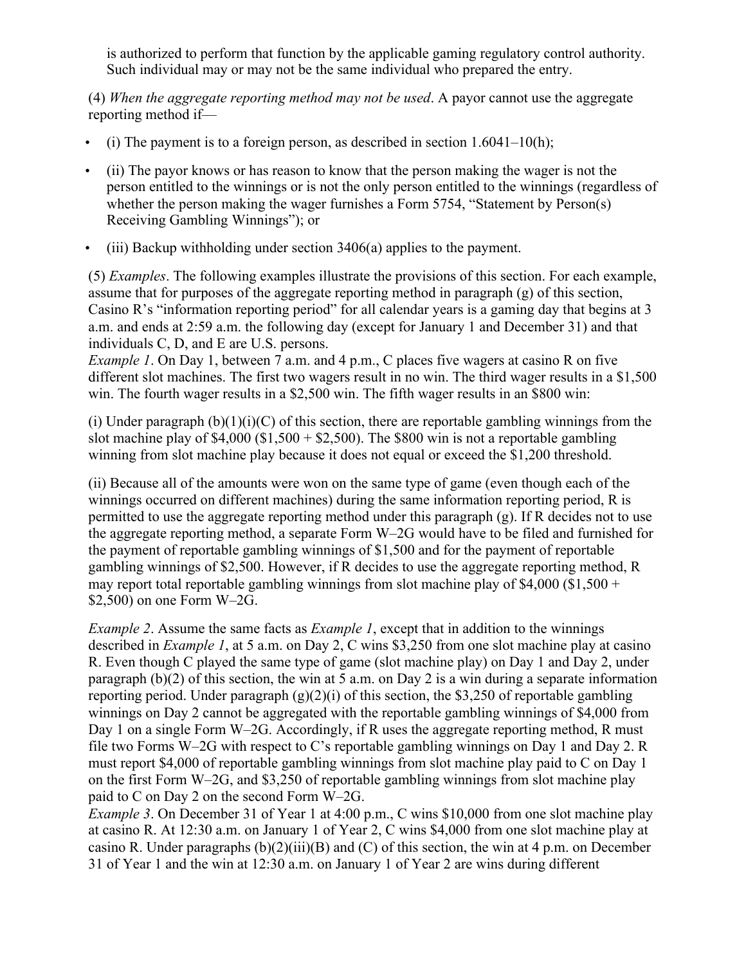is authorized to perform that function by the applicable gaming regulatory control authority. Such individual may or may not be the same individual who prepared the entry.

(4) *When the aggregate reporting method may not be used*. A payor cannot use the aggregate reporting method if—

- (i) The payment is to a foreign person, as described in section  $1.6041-10(h)$ ;
- (ii) The payor knows or has reason to know that the person making the wager is not the person entitled to the winnings or is not the only person entitled to the winnings (regardless of whether the person making the wager furnishes a Form 5754, "Statement by Person(s) Receiving Gambling Winnings"); or
- (iii) Backup withholding under section 3406(a) applies to the payment.

(5) *Examples*. The following examples illustrate the provisions of this section. For each example, assume that for purposes of the aggregate reporting method in paragraph (g) of this section, Casino R's "information reporting period" for all calendar years is a gaming day that begins at 3 a.m. and ends at 2:59 a.m. the following day (except for January 1 and December 31) and that individuals C, D, and E are U.S. persons.

*Example 1*. On Day 1, between 7 a.m. and 4 p.m., C places five wagers at casino R on five different slot machines. The first two wagers result in no win. The third wager results in a \$1,500 win. The fourth wager results in a \$2,500 win. The fifth wager results in an \$800 win:

(i) Under paragraph  $(b)(1)(i)(C)$  of this section, there are reportable gambling winnings from the slot machine play of  $$4,000$  ( $$1,500 + $2,500$ ). The \$800 win is not a reportable gambling winning from slot machine play because it does not equal or exceed the \$1,200 threshold.

(ii) Because all of the amounts were won on the same type of game (even though each of the winnings occurred on different machines) during the same information reporting period, R is permitted to use the aggregate reporting method under this paragraph (g). If R decides not to use the aggregate reporting method, a separate Form W–2G would have to be filed and furnished for the payment of reportable gambling winnings of \$1,500 and for the payment of reportable gambling winnings of \$2,500. However, if R decides to use the aggregate reporting method, R may report total reportable gambling winnings from slot machine play of \$4,000 (\$1,500 + \$2,500) on one Form W–2G.

*Example 2*. Assume the same facts as *Example 1*, except that in addition to the winnings described in *Example 1*, at 5 a.m. on Day 2, C wins \$3,250 from one slot machine play at casino R. Even though C played the same type of game (slot machine play) on Day 1 and Day 2, under paragraph (b)(2) of this section, the win at 5 a.m. on Day 2 is a win during a separate information reporting period. Under paragraph  $(g)(2)(i)$  of this section, the \$3,250 of reportable gambling winnings on Day 2 cannot be aggregated with the reportable gambling winnings of \$4,000 from Day 1 on a single Form W–2G. Accordingly, if R uses the aggregate reporting method, R must file two Forms W–2G with respect to C's reportable gambling winnings on Day 1 and Day 2. R must report \$4,000 of reportable gambling winnings from slot machine play paid to C on Day 1 on the first Form W–2G, and \$3,250 of reportable gambling winnings from slot machine play paid to C on Day 2 on the second Form W–2G.

*Example* 3. On December 31 of Year 1 at 4:00 p.m., C wins \$10,000 from one slot machine play at casino R. At 12:30 a.m. on January 1 of Year 2, C wins \$4,000 from one slot machine play at casino R. Under paragraphs  $(b)(2)(iii)(B)$  and  $(C)$  of this section, the win at 4 p.m. on December 31 of Year 1 and the win at 12:30 a.m. on January 1 of Year 2 are wins during different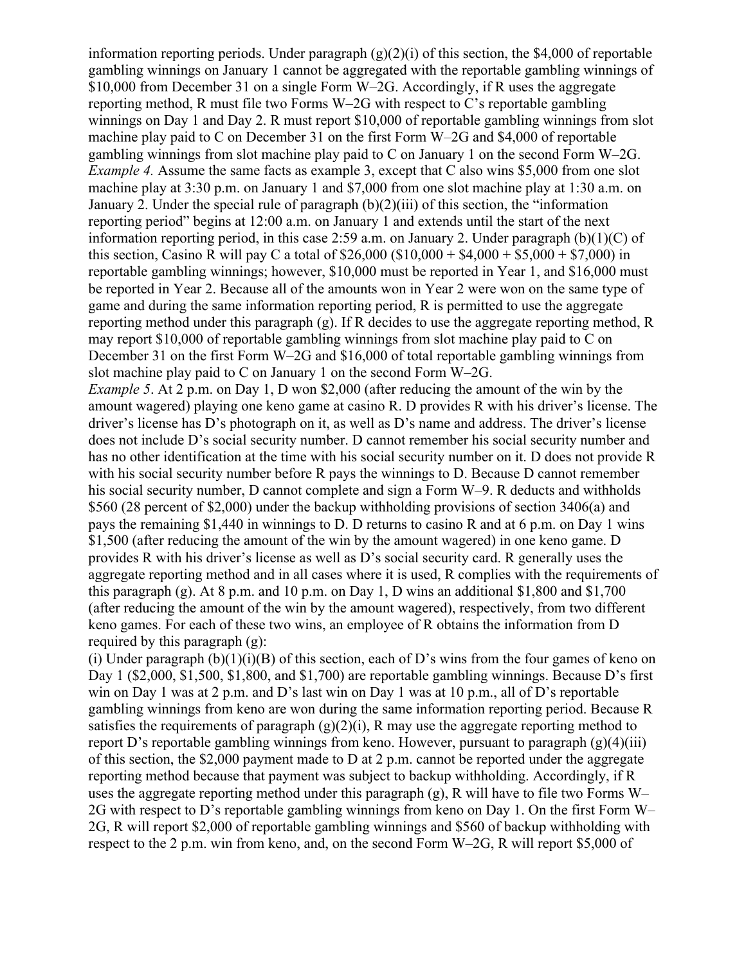information reporting periods. Under paragraph (g)(2)(i) of this section, the \$4,000 of reportable gambling winnings on January 1 cannot be aggregated with the reportable gambling winnings of \$10,000 from December 31 on a single Form W–2G. Accordingly, if R uses the aggregate reporting method, R must file two Forms W–2G with respect to C's reportable gambling winnings on Day 1 and Day 2. R must report \$10,000 of reportable gambling winnings from slot machine play paid to C on December 31 on the first Form W–2G and \$4,000 of reportable gambling winnings from slot machine play paid to C on January 1 on the second Form W–2G. *Example* 4. Assume the same facts as example 3, except that C also wins \$5,000 from one slot machine play at 3:30 p.m. on January 1 and \$7,000 from one slot machine play at 1:30 a.m. on January 2. Under the special rule of paragraph (b)(2)(iii) of this section, the "information reporting period" begins at 12:00 a.m. on January 1 and extends until the start of the next information reporting period, in this case 2:59 a.m. on January 2. Under paragraph (b)(1)(C) of this section, Casino R will pay C a total of  $$26,000 ($10,000 + $4,000 + $5,000 + $7,000)$  in reportable gambling winnings; however, \$10,000 must be reported in Year 1, and \$16,000 must be reported in Year 2. Because all of the amounts won in Year 2 were won on the same type of game and during the same information reporting period, R is permitted to use the aggregate reporting method under this paragraph (g). If R decides to use the aggregate reporting method, R may report \$10,000 of reportable gambling winnings from slot machine play paid to C on December 31 on the first Form W–2G and \$16,000 of total reportable gambling winnings from slot machine play paid to C on January 1 on the second Form W–2G.

*Example 5*. At 2 p.m. on Day 1, D won \$2,000 (after reducing the amount of the win by the amount wagered) playing one keno game at casino R. D provides R with his driver's license. The driver's license has D's photograph on it, as well as D's name and address. The driver's license does not include D's social security number. D cannot remember his social security number and has no other identification at the time with his social security number on it. D does not provide R with his social security number before R pays the winnings to D. Because D cannot remember his social security number. D cannot complete and sign a Form W–9. R deducts and withholds \$560 (28 percent of \$2,000) under the backup withholding provisions of section 3406(a) and pays the remaining \$1,440 in winnings to D. D returns to casino R and at 6 p.m. on Day 1 wins \$1,500 (after reducing the amount of the win by the amount wagered) in one keno game. D provides R with his driver's license as well as D's social security card. R generally uses the aggregate reporting method and in all cases where it is used, R complies with the requirements of this paragraph (g). At  $8$  p.m. and  $10$  p.m. on Day 1, D wins an additional  $$1,800$  and  $$1,700$ (after reducing the amount of the win by the amount wagered), respectively, from two different keno games. For each of these two wins, an employee of R obtains the information from D required by this paragraph (g):

(i) Under paragraph  $(b)(1)(i)(B)$  of this section, each of D's wins from the four games of keno on Day 1 (\$2,000, \$1,500, \$1,800, and \$1,700) are reportable gambling winnings. Because D's first win on Day 1 was at 2 p.m. and D's last win on Day 1 was at 10 p.m., all of D's reportable gambling winnings from keno are won during the same information reporting period. Because R satisfies the requirements of paragraph  $(g)(2)(i)$ , R may use the aggregate reporting method to report D's reportable gambling winnings from keno. However, pursuant to paragraph  $(g)(4)(iii)$ of this section, the \$2,000 payment made to D at 2 p.m. cannot be reported under the aggregate reporting method because that payment was subject to backup withholding. Accordingly, if R uses the aggregate reporting method under this paragraph (g), R will have to file two Forms W– 2G with respect to D's reportable gambling winnings from keno on Day 1. On the first Form W– 2G, R will report \$2,000 of reportable gambling winnings and \$560 of backup withholding with respect to the 2 p.m. win from keno, and, on the second Form W–2G, R will report \$5,000 of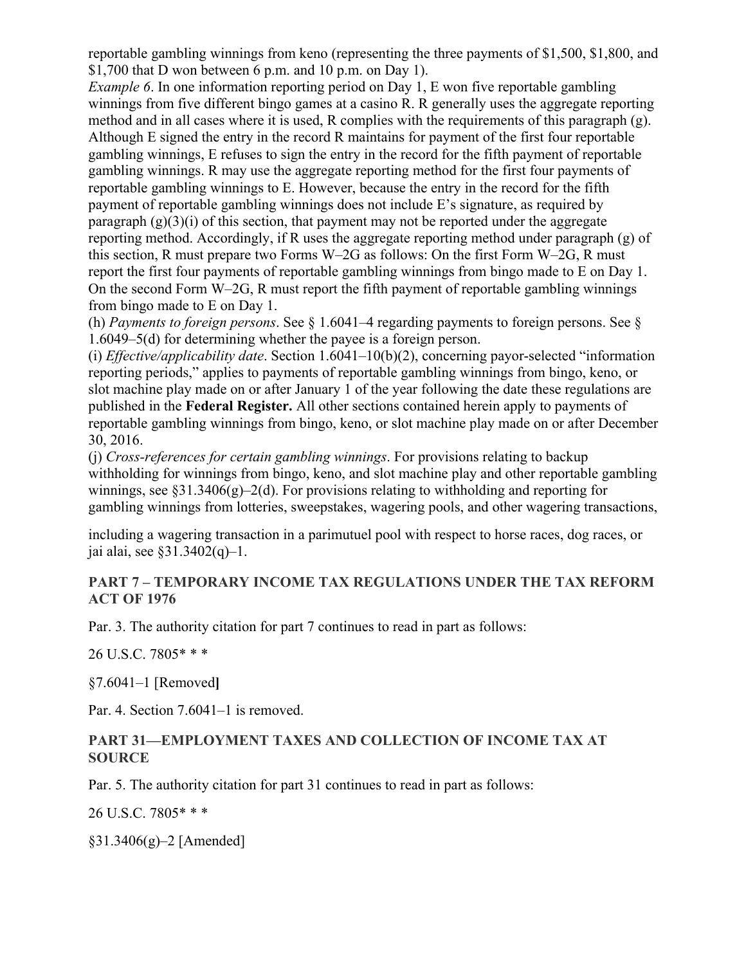reportable gambling winnings from keno (representing the three payments of \$1,500, \$1,800, and \$1,700 that D won between 6 p.m. and 10 p.m. on Day 1).

*Example* 6. In one information reporting period on Day 1, E won five reportable gambling winnings from five different bingo games at a casino R. R generally uses the aggregate reporting method and in all cases where it is used, R complies with the requirements of this paragraph (g). Although E signed the entry in the record R maintains for payment of the first four reportable gambling winnings, E refuses to sign the entry in the record for the fifth payment of reportable gambling winnings. R may use the aggregate reporting method for the first four payments of reportable gambling winnings to E. However, because the entry in the record for the fifth payment of reportable gambling winnings does not include E's signature, as required by paragraph  $(g)(3)(i)$  of this section, that payment may not be reported under the aggregate reporting method. Accordingly, if R uses the aggregate reporting method under paragraph (g) of this section, R must prepare two Forms W–2G as follows: On the first Form W–2G, R must report the first four payments of reportable gambling winnings from bingo made to E on Day 1. On the second Form W–2G, R must report the fifth payment of reportable gambling winnings from bingo made to E on Day 1.

(h) *Payments to foreign persons*. See § 1.6041–4 regarding payments to foreign persons. See § 1.6049–5(d) for determining whether the payee is a foreign person.

(i) *Effective/applicability date*. Section 1.6041–10(b)(2), concerning payor-selected "information reporting periods," applies to payments of reportable gambling winnings from bingo, keno, or slot machine play made on or after January 1 of the year following the date these regulations are published in the **Federal Register.** All other sections contained herein apply to payments of reportable gambling winnings from bingo, keno, or slot machine play made on or after December 30, 2016.

(j) *Cross-references for certain gambling winnings*. For provisions relating to backup withholding for winnings from bingo, keno, and slot machine play and other reportable gambling winnings, see  $\S 31.3406(g) - 2(d)$ . For provisions relating to withholding and reporting for gambling winnings from lotteries, sweepstakes, wagering pools, and other wagering transactions,

including a wagering transaction in a parimutuel pool with respect to horse races, dog races, or jai alai, see §31.3402(q)–1.

#### **PART 7 – TEMPORARY INCOME TAX REGULATIONS UNDER THE TAX REFORM ACT OF 1976**

Par. 3. The authority citation for part 7 continues to read in part as follows:

26 U.S.C. 7805\* \* \*

§7.6041–1 [Removed**]**

Par. 4. Section 7.6041–1 is removed.

#### **PART 31—EMPLOYMENT TAXES AND COLLECTION OF INCOME TAX AT SOURCE**

Par. 5. The authority citation for part 31 continues to read in part as follows:

26 U.S.C. 7805\* \* \*

§31.3406(g)–2 [Amended]